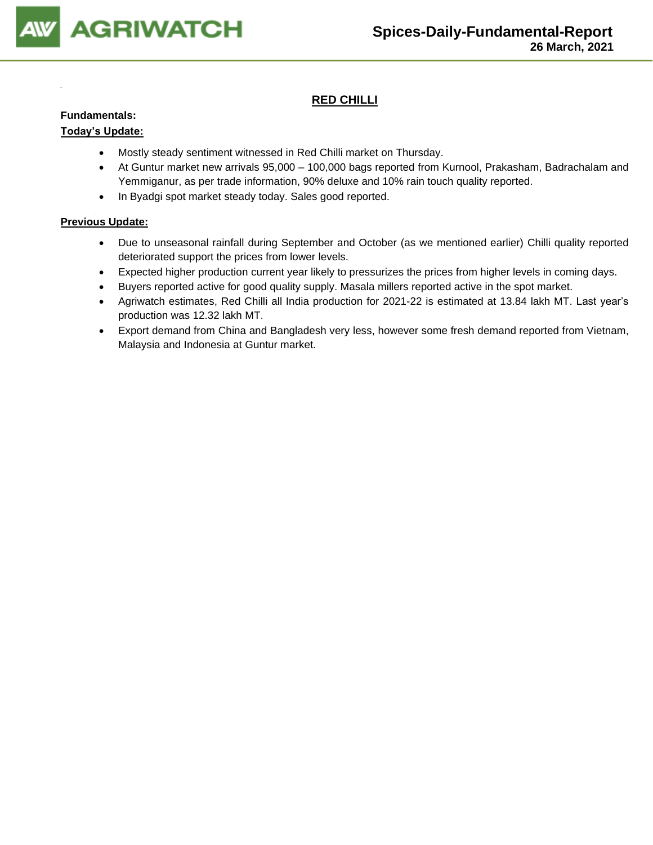

## **RED CHILLI**

### **Fundamentals:**

## **Today's Update:**

- Mostly steady sentiment witnessed in Red Chilli market on Thursday.
- At Guntur market new arrivals 95,000 100,000 bags reported from Kurnool, Prakasham, Badrachalam and Yemmiganur, as per trade information, 90% deluxe and 10% rain touch quality reported.
- In Byadgi spot market steady today. Sales good reported.

- Due to unseasonal rainfall during September and October (as we mentioned earlier) Chilli quality reported deteriorated support the prices from lower levels.
- Expected higher production current year likely to pressurizes the prices from higher levels in coming days.
- Buyers reported active for good quality supply. Masala millers reported active in the spot market.
- Agriwatch estimates, Red Chilli all India production for 2021-22 is estimated at 13.84 lakh MT. Last year's production was 12.32 lakh MT.
- Export demand from China and Bangladesh very less, however some fresh demand reported from Vietnam, Malaysia and Indonesia at Guntur market.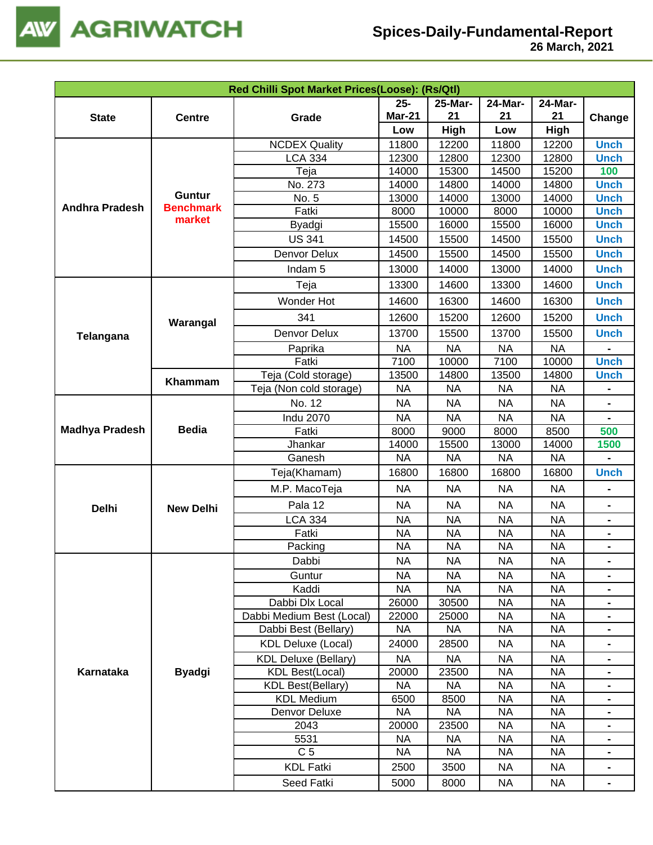

|                                                                                               |                  | Red Chilli Spot Market Prices(Loose): (Rs/Qtl) |                        |                        |                        |                        |                |
|-----------------------------------------------------------------------------------------------|------------------|------------------------------------------------|------------------------|------------------------|------------------------|------------------------|----------------|
|                                                                                               |                  |                                                | $25 -$                 | 25-Mar-                | 24-Mar-                | <b>24-Mar-</b>         |                |
| <b>State</b>                                                                                  | <b>Centre</b>    | Grade                                          | <b>Mar-21</b>          | 21                     | 21                     | 21                     | Change         |
|                                                                                               |                  |                                                | Low                    | High                   | Low                    | High                   |                |
|                                                                                               |                  | <b>NCDEX Quality</b>                           | 11800                  | 12200                  | 11800                  | 12200                  | <b>Unch</b>    |
|                                                                                               |                  | <b>LCA 334</b>                                 | 12300                  | 12800                  | 12300                  | 12800                  | <b>Unch</b>    |
|                                                                                               |                  | Teja                                           | 14000                  | 15300                  | 14500                  | 15200                  | 100            |
|                                                                                               |                  | No. 273                                        | 14000                  | 14800                  | 14000                  | 14800                  | <b>Unch</b>    |
|                                                                                               | <b>Guntur</b>    | No. 5                                          | 13000                  | 14000                  | 13000                  | 14000                  | <b>Unch</b>    |
|                                                                                               |                  | Fatki                                          | 8000                   | 10000                  | 8000                   | 10000                  | <b>Unch</b>    |
|                                                                                               |                  | Byadgi                                         | 15500                  | 16000                  | 15500                  | 16000                  | <b>Unch</b>    |
|                                                                                               |                  | <b>US 341</b>                                  | 14500                  | 15500                  | 14500                  | 15500                  | <b>Unch</b>    |
| <b>Benchmark</b><br><b>Andhra Pradesh</b><br>market<br>Telangana<br><b>Delhi</b><br>Karnataka |                  | Denvor Delux                                   | 14500                  | 15500                  | 14500                  | 15500                  | <b>Unch</b>    |
|                                                                                               |                  | Indam <sub>5</sub>                             | 13000                  | 14000                  | 13000                  | 14000                  | <b>Unch</b>    |
|                                                                                               |                  | Teja                                           | 13300                  | 14600                  | 13300                  | 14600                  | <b>Unch</b>    |
|                                                                                               |                  | Wonder Hot                                     | 14600                  | 16300                  | 14600                  | 16300                  | <b>Unch</b>    |
|                                                                                               | Warangal         | 341                                            | 12600                  | 15200                  | 12600                  | 15200                  | <b>Unch</b>    |
|                                                                                               |                  | Denvor Delux                                   | 13700                  | 15500                  | 13700                  | 15500                  | <b>Unch</b>    |
|                                                                                               |                  | Paprika                                        | <b>NA</b>              | <b>NA</b>              | <b>NA</b>              | <b>NA</b>              |                |
|                                                                                               |                  | Fatki                                          | 7100                   | 10000                  | 7100                   | 10000                  | <b>Unch</b>    |
|                                                                                               |                  | Teja (Cold storage)                            | 13500                  | 14800                  | 13500                  | 14800                  | <b>Unch</b>    |
|                                                                                               | Khammam          | Teja (Non cold storage)                        | <b>NA</b>              | <b>NA</b>              | <b>NA</b>              | <b>NA</b>              | -              |
|                                                                                               |                  | No. 12                                         | <b>NA</b>              | <b>NA</b>              | <b>NA</b>              | <b>NA</b>              |                |
|                                                                                               |                  | <b>Indu 2070</b>                               | <b>NA</b>              | <b>NA</b>              | <b>NA</b>              | <b>NA</b>              |                |
| <b>Madhya Pradesh</b>                                                                         | <b>Bedia</b>     | Fatki                                          | 8000                   | 9000                   | 8000                   | 8500                   | 500            |
|                                                                                               |                  | Jhankar                                        | 14000                  | 15500                  | 13000                  | 14000                  | 1500           |
|                                                                                               |                  | Ganesh                                         | <b>NA</b>              | <b>NA</b>              | <b>NA</b>              | <b>NA</b>              |                |
|                                                                                               |                  | Teja(Khamam)                                   | 16800                  | 16800                  | 16800                  | 16800                  | <b>Unch</b>    |
|                                                                                               |                  | M.P. MacoTeja                                  | <b>NA</b>              | <b>NA</b>              | <b>NA</b>              | <b>NA</b>              |                |
|                                                                                               | <b>New Delhi</b> | Pala 12                                        | <b>NA</b>              | <b>NA</b>              | <b>NA</b>              | <b>NA</b>              | -              |
|                                                                                               |                  | <b>LCA 334</b>                                 | <b>NA</b>              | $N\overline{A}$        | <b>NA</b>              | <b>NA</b>              |                |
|                                                                                               |                  | Fatki                                          | <b>NA</b>              | <b>NA</b>              | <b>NA</b>              | <b>NA</b>              |                |
|                                                                                               |                  | Packing                                        | <b>NA</b>              | <b>NA</b>              | <b>NA</b>              | <b>NA</b>              | $\blacksquare$ |
|                                                                                               |                  | Dabbi                                          | <b>NA</b>              | <b>NA</b>              | <b>NA</b>              | ΝA                     | $\blacksquare$ |
|                                                                                               |                  | Guntur                                         | <b>NA</b>              | <b>NA</b>              | <b>NA</b>              | <b>NA</b>              |                |
|                                                                                               |                  | Kaddi                                          | <b>NA</b>              | <b>NA</b>              | <b>NA</b>              | <b>NA</b>              |                |
|                                                                                               |                  | Dabbi Dlx Local                                | 26000                  | 30500                  | <b>NA</b>              | <b>NA</b>              |                |
|                                                                                               |                  | Dabbi Medium Best (Local)                      | 22000                  | 25000                  | <b>NA</b>              | <b>NA</b>              |                |
|                                                                                               |                  | Dabbi Best (Bellary)                           | <b>NA</b>              | <b>NA</b>              | <b>NA</b>              | <b>NA</b>              |                |
|                                                                                               |                  | <b>KDL Deluxe (Local)</b>                      | 24000                  | 28500                  | <b>NA</b>              | <b>NA</b>              | $\blacksquare$ |
|                                                                                               |                  | <b>KDL Deluxe (Bellary)</b>                    | <b>NA</b>              | <b>NA</b>              | <b>NA</b>              | <b>NA</b>              |                |
|                                                                                               | <b>Byadgi</b>    | <b>KDL Best(Local)</b>                         | 20000                  | 23500                  | <b>NA</b>              | <b>NA</b>              |                |
|                                                                                               |                  | <b>KDL Best(Bellary)</b>                       | <b>NA</b>              | <b>NA</b>              | <b>NA</b>              | <b>NA</b>              |                |
|                                                                                               |                  | <b>KDL Medium</b>                              | 6500                   | 8500                   | <b>NA</b>              | <b>NA</b>              |                |
|                                                                                               |                  | Denvor Deluxe                                  | <b>NA</b>              | <b>NA</b>              | <b>NA</b>              | <b>NA</b>              |                |
|                                                                                               |                  | 2043                                           | 20000                  | 23500                  | <b>NA</b>              | <b>NA</b>              |                |
|                                                                                               |                  | 5531<br>C <sub>5</sub>                         | <b>NA</b><br><b>NA</b> | <b>NA</b><br><b>NA</b> | <b>NA</b><br><b>NA</b> | <b>NA</b><br><b>NA</b> |                |
|                                                                                               |                  |                                                |                        |                        |                        |                        |                |
|                                                                                               |                  | <b>KDL Fatki</b>                               | 2500                   | 3500                   | <b>NA</b>              | <b>NA</b>              | $\blacksquare$ |
|                                                                                               |                  | Seed Fatki                                     | 5000                   | 8000                   | <b>NA</b>              | <b>NA</b>              | $\blacksquare$ |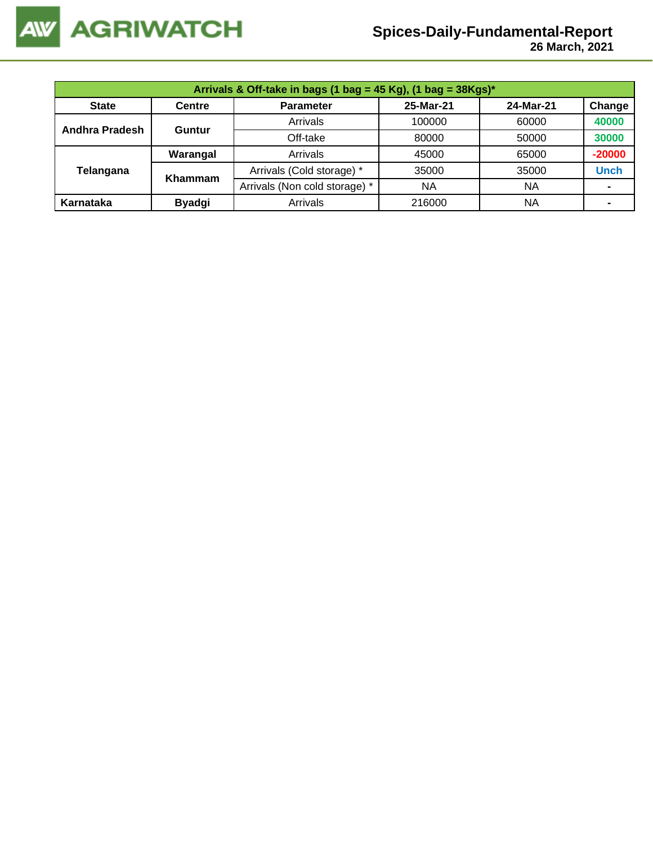

 **26 March, 2021**

|                       |                | Arrivals & Off-take in bags (1 bag = 45 Kg), (1 bag = $38Kgs$ )* |           |           |             |
|-----------------------|----------------|------------------------------------------------------------------|-----------|-----------|-------------|
| <b>State</b>          | <b>Centre</b>  | <b>Parameter</b>                                                 | 25-Mar-21 | 24-Mar-21 | Change      |
| <b>Andhra Pradesh</b> |                | Arrivals                                                         | 100000    | 60000     | 40000       |
|                       | Guntur         | Off-take                                                         | 80000     | 50000     | 30000       |
|                       | Warangal       | Arrivals                                                         | 45000     | 65000     | $-20000$    |
| Telangana             | <b>Khammam</b> | Arrivals (Cold storage) *                                        | 35000     | 35000     | <b>Unch</b> |
|                       |                | Arrivals (Non cold storage) *                                    | ΝA        | NA        |             |
| Karnataka             | <b>Byadgi</b>  | Arrivals                                                         | 216000    | NA        |             |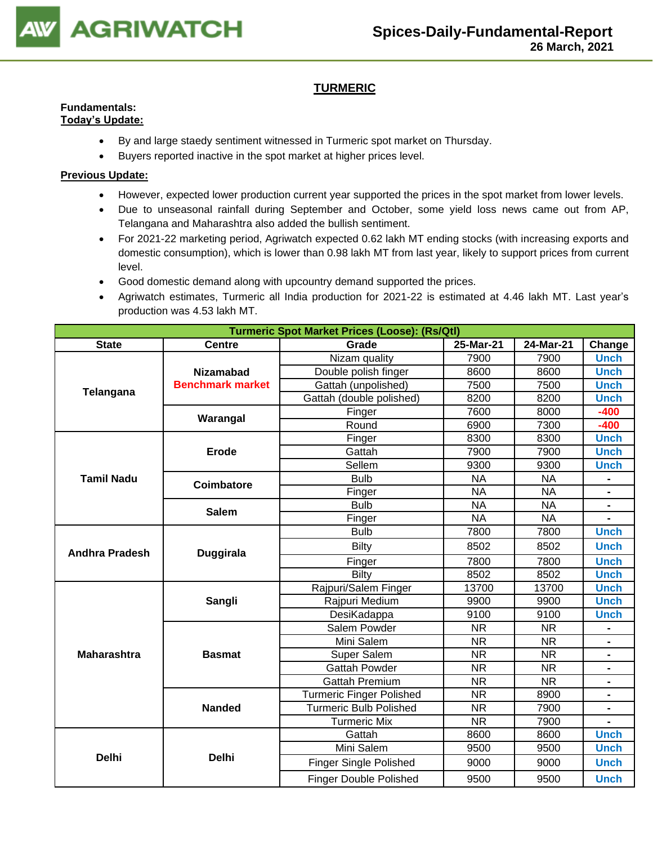

## **TURMERIC**

## **Fundamentals:**

- **Today's Update:**
	- By and large staedy sentiment witnessed in Turmeric spot market on Thursday.
	- Buyers reported inactive in the spot market at higher prices level.

- However, expected lower production current year supported the prices in the spot market from lower levels.
- Due to unseasonal rainfall during September and October, some yield loss news came out from AP, Telangana and Maharashtra also added the bullish sentiment.
- For 2021-22 marketing period, Agriwatch expected 0.62 lakh MT ending stocks (with increasing exports and domestic consumption), which is lower than 0.98 lakh MT from last year, likely to support prices from current level.
- Good domestic demand along with upcountry demand supported the prices.
- Agriwatch estimates, Turmeric all India production for 2021-22 is estimated at 4.46 lakh MT. Last year's production was 4.53 lakh MT.

| <b>Turmeric Spot Market Prices (Loose): (Rs/Qtl)</b><br>Change |                         |                                 |                        |           |                |  |
|----------------------------------------------------------------|-------------------------|---------------------------------|------------------------|-----------|----------------|--|
| <b>State</b>                                                   | <b>Centre</b>           | Grade                           | 25-Mar-21<br>24-Mar-21 |           |                |  |
|                                                                |                         | Nizam quality                   | 7900                   | 7900      | <b>Unch</b>    |  |
|                                                                | <b>Nizamabad</b>        | Double polish finger            | 8600                   | 8600      | <b>Unch</b>    |  |
| Telangana                                                      | <b>Benchmark market</b> | Gattah (unpolished)             | 7500                   | 7500      | <b>Unch</b>    |  |
|                                                                |                         | Gattah (double polished)        | 8200                   | 8200      | <b>Unch</b>    |  |
|                                                                | Warangal                | Finger                          | 7600                   | 8000      | $-400$         |  |
|                                                                |                         | Round                           | 6900                   | 7300      | $-400$         |  |
|                                                                |                         | Finger                          | 8300                   | 8300      | <b>Unch</b>    |  |
| <b>Tamil Nadu</b>                                              | <b>Erode</b>            | Gattah                          | 7900                   | 7900      | <b>Unch</b>    |  |
|                                                                |                         | Sellem                          | 9300                   | 9300      | <b>Unch</b>    |  |
|                                                                | <b>Coimbatore</b>       | <b>Bulb</b>                     | <b>NA</b>              | <b>NA</b> |                |  |
|                                                                |                         | Finger                          | <b>NA</b>              | <b>NA</b> |                |  |
|                                                                | <b>Salem</b>            | <b>Bulb</b>                     | <b>NA</b>              | <b>NA</b> |                |  |
|                                                                |                         | Finger                          | <b>NA</b>              | <b>NA</b> |                |  |
|                                                                |                         | <b>Bulb</b>                     | 7800                   | 7800      | <b>Unch</b>    |  |
| <b>Andhra Pradesh</b>                                          | <b>Duggirala</b>        | <b>Bilty</b>                    | 8502                   | 8502      | <b>Unch</b>    |  |
|                                                                |                         | Finger                          | 7800                   | 7800      | <b>Unch</b>    |  |
|                                                                |                         | Bilty                           | 8502                   | 8502      | <b>Unch</b>    |  |
|                                                                |                         | Rajpuri/Salem Finger            | 13700                  | 13700     | <b>Unch</b>    |  |
|                                                                | Sangli                  | Rajpuri Medium                  | 9900                   | 9900      | <b>Unch</b>    |  |
|                                                                |                         | DesiKadappa                     | 9100                   | 9100      | <b>Unch</b>    |  |
|                                                                |                         | Salem Powder                    | <b>NR</b>              | <b>NR</b> |                |  |
|                                                                |                         | Mini Salem                      | <b>NR</b>              | <b>NR</b> |                |  |
| <b>Maharashtra</b>                                             | <b>Basmat</b>           | <b>Super Salem</b>              | <b>NR</b>              | <b>NR</b> |                |  |
|                                                                |                         | <b>Gattah Powder</b>            | <b>NR</b>              | <b>NR</b> |                |  |
|                                                                |                         | <b>Gattah Premium</b>           | <b>NR</b>              | <b>NR</b> | $\blacksquare$ |  |
|                                                                |                         | <b>Turmeric Finger Polished</b> | <b>NR</b>              | 8900      |                |  |
|                                                                | <b>Nanded</b>           | <b>Turmeric Bulb Polished</b>   | <b>NR</b>              | 7900      |                |  |
|                                                                |                         | <b>Turmeric Mix</b>             | <b>NR</b>              | 7900      |                |  |
|                                                                |                         | Gattah                          | 8600                   | 8600      | <b>Unch</b>    |  |
|                                                                |                         | Mini Salem                      | 9500                   | 9500      | <b>Unch</b>    |  |
| <b>Delhi</b>                                                   | <b>Delhi</b>            | <b>Finger Single Polished</b>   | 9000                   | 9000      | <b>Unch</b>    |  |
|                                                                |                         | <b>Finger Double Polished</b>   | 9500                   | 9500      | <b>Unch</b>    |  |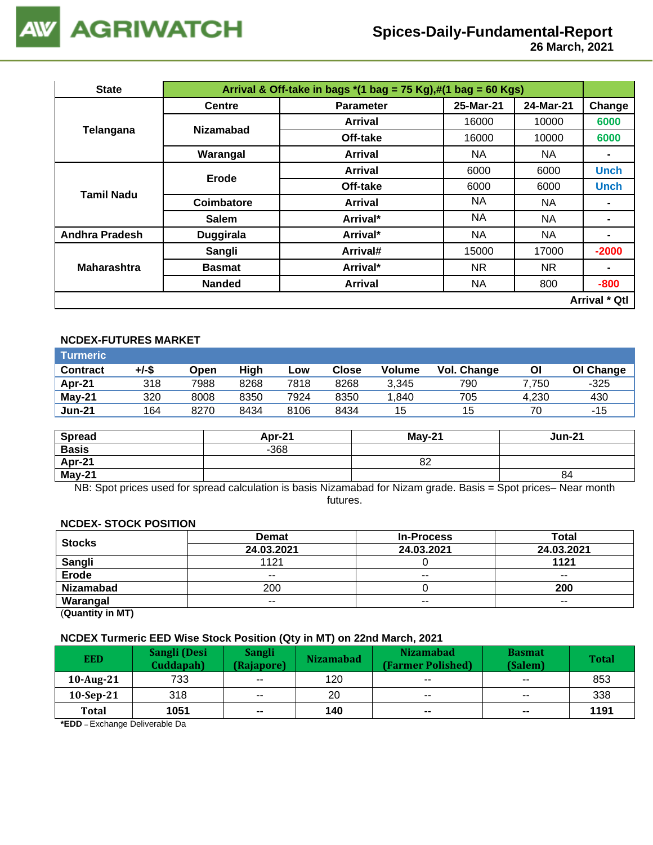

 **26 March, 2021**

| <b>State</b>                                             |                  |                                                                                                                                                                                                                                                                                                                                                                                    |       |           |                      |
|----------------------------------------------------------|------------------|------------------------------------------------------------------------------------------------------------------------------------------------------------------------------------------------------------------------------------------------------------------------------------------------------------------------------------------------------------------------------------|-------|-----------|----------------------|
|                                                          | <b>Centre</b>    | <b>Parameter</b>                                                                                                                                                                                                                                                                                                                                                                   |       | 24-Mar-21 | Change               |
|                                                          | <b>Nizamabad</b> | Arrival                                                                                                                                                                                                                                                                                                                                                                            | 16000 | 10000     | 6000                 |
|                                                          |                  | Off-take                                                                                                                                                                                                                                                                                                                                                                           | 16000 | 10000     | 6000                 |
|                                                          | Warangal         | Arrival & Off-take in bags $*(1 \text{ bag} = 75 \text{ Kg}),\#(1 \text{ bag} = 60 \text{ Kg})$<br>25-Mar-21<br><b>NA</b><br>NA.<br>Arrival<br>6000<br>6000<br><b>Arrival</b><br>Off-take<br>6000<br>6000<br>NA.<br>NA.<br>Arrival<br>ΝA<br><b>NA</b><br>Arrival*<br><b>NA</b><br>Arrival*<br>NA.<br>Arrival#<br>15000<br>17000<br>NR.<br>Arrival*<br>NR.<br>800<br>NA.<br>Arrival | ۰     |           |                      |
| Tamil Nadu                                               | Erode            |                                                                                                                                                                                                                                                                                                                                                                                    |       |           | <b>Unch</b>          |
|                                                          |                  |                                                                                                                                                                                                                                                                                                                                                                                    |       |           | <b>Unch</b>          |
|                                                          | Coimbatore       |                                                                                                                                                                                                                                                                                                                                                                                    |       |           |                      |
| Telangana<br><b>Andhra Pradesh</b><br><b>Maharashtra</b> | <b>Salem</b>     |                                                                                                                                                                                                                                                                                                                                                                                    |       |           | ۰                    |
|                                                          | <b>Duggirala</b> |                                                                                                                                                                                                                                                                                                                                                                                    |       |           | -                    |
|                                                          | Sangli           |                                                                                                                                                                                                                                                                                                                                                                                    |       |           | $-2000$              |
|                                                          | <b>Basmat</b>    |                                                                                                                                                                                                                                                                                                                                                                                    |       |           | ۰                    |
|                                                          | <b>Nanded</b>    |                                                                                                                                                                                                                                                                                                                                                                                    |       |           | $-800$               |
|                                                          |                  |                                                                                                                                                                                                                                                                                                                                                                                    |       |           | <b>Arrival * Qtl</b> |

## **NCDEX-FUTURES MARKET**

| Turmeric        |       |      |      |      |              |               |             |       |           |
|-----------------|-------|------|------|------|--------------|---------------|-------------|-------|-----------|
| <b>Contract</b> | +/-\$ | Open | High | Low  | <b>Close</b> | <b>Volume</b> | Vol. Change | ΟI    | OI Change |
| Apr-21          | 318   | 7988 | 8268 | 7818 | 8268         | 3,345         | 790         | 7.750 | $-325$    |
| $May-21$        | 320   | 8008 | 8350 | 7924 | 8350         | .840          | 705         | 4.230 | 430       |
| <b>Jun-21</b>   | 164   | 8270 | 8434 | 8106 | 8434         | 15            | 15          | 70    | -15       |

| <b>Spread</b> | Apr-21 | $Mav-21$ | <b>Jun-21</b> |
|---------------|--------|----------|---------------|
| <b>Basis</b>  | $-368$ |          |               |
| Apr-21        |        | 82       |               |
| May-21        |        |          | 84            |

NB: Spot prices used for spread calculation is basis Nizamabad for Nizam grade. Basis = Spot prices– Near month futures.

#### **NCDEX- STOCK POSITION**

| <b>Stocks</b>    | <b>Demat</b>             | <b>In-Process</b> | Total         |
|------------------|--------------------------|-------------------|---------------|
|                  | 24.03.2021               | 24.03.2021        | 24.03.2021    |
| Sangli           | 1121                     |                   | 1121          |
| Erode            | $\overline{\phantom{a}}$ | $- -$             | $\sim$ $\sim$ |
| <b>Nizamabad</b> | 200                      |                   | 200           |
| Warangal         | $\overline{\phantom{a}}$ | $- -$             | $- -$         |

(**Quantity in MT)**

#### **NCDEX Turmeric EED Wise Stock Position (Qty in MT) on 22nd March, 2021**

| <b>EED</b>   | Sangli (Desi<br>Cuddapah) | Sangli<br>(Rajapore)     | <b>Nizamabad</b> | <b>Nizamabad</b><br>(Farmer Polished) | <b>Basmat</b><br>(Salem) | <b>Total</b> |
|--------------|---------------------------|--------------------------|------------------|---------------------------------------|--------------------------|--------------|
| 10-Aug-21    | 733                       | $\overline{\phantom{m}}$ | 120              | $\overline{\phantom{a}}$              | $\overline{\phantom{a}}$ | 853          |
| $10-Sep-21$  | 318                       | $\overline{\phantom{a}}$ | 20               | $\sim$ $\sim$                         | $\overline{\phantom{a}}$ | 338          |
| <b>Total</b> | 1051                      | $\mathbf{u}$             | 140              | $\sim$                                | $\mathbf{m}$             | 1191         |

**\*EDD** – Exchange Deliverable Da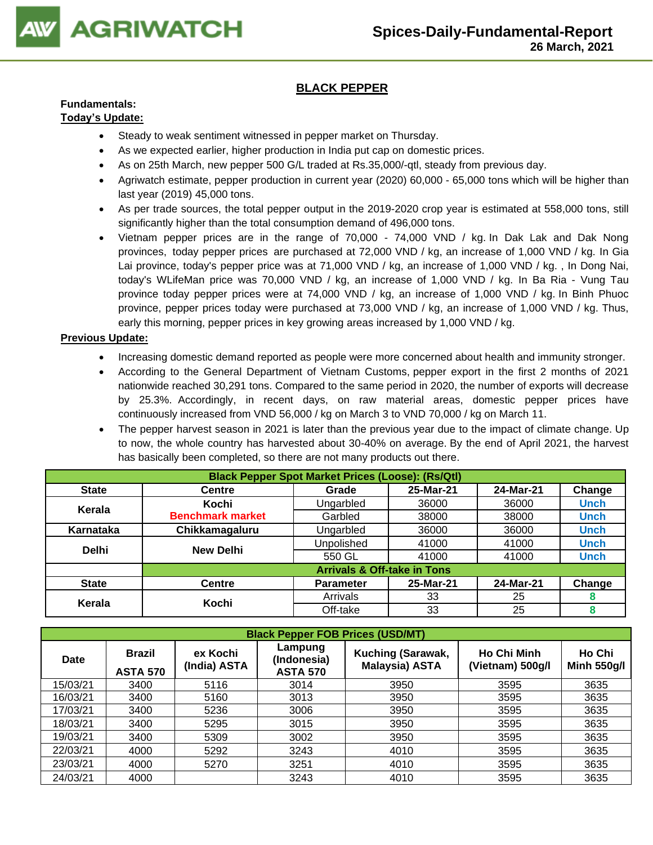

## **BLACK PEPPER**

## **Fundamentals:**

## **Today's Update:**

- Steady to weak sentiment witnessed in pepper market on Thursday.
- As we expected earlier, higher production in India put cap on domestic prices.
- As on 25th March, new pepper 500 G/L traded at Rs.35,000/-qtl, steady from previous day.
- Agriwatch estimate, pepper production in current year (2020) 60,000 65,000 tons which will be higher than last year (2019) 45,000 tons.
- As per trade sources, the total pepper output in the 2019-2020 crop year is estimated at 558,000 tons, still significantly higher than the total consumption demand of 496,000 tons.
- Vietnam pepper prices are in the range of 70,000 74,000 VND / kg. In Dak Lak and Dak Nong provinces, today pepper prices are purchased at 72,000 VND / kg, an increase of 1,000 VND / kg. In Gia Lai province, today's pepper price was at 71,000 VND / kg, an increase of 1,000 VND / kg. , In Dong Nai, today's WLifeMan price was 70,000 VND / kg, an increase of 1,000 VND / kg. In Ba Ria - Vung Tau province today pepper prices were at 74,000 VND / kg, an increase of 1,000 VND / kg. In Binh Phuoc province, pepper prices today were purchased at 73,000 VND / kg, an increase of 1,000 VND / kg. Thus, early this morning, pepper prices in key growing areas increased by 1,000 VND / kg.

- Increasing domestic demand reported as people were more concerned about health and immunity stronger.
- According to the General Department of Vietnam Customs, pepper export in the first 2 months of 2021 nationwide reached 30,291 tons. Compared to the same period in 2020, the number of exports will decrease by 25.3%. Accordingly, in recent days, on raw material areas, domestic pepper prices have continuously increased from VND 56,000 / kg on March 3 to VND 70,000 / kg on March 11.
- The pepper harvest season in 2021 is later than the previous year due to the impact of climate change. Up to now, the whole country has harvested about 30-40% on average. By the end of April 2021, the harvest has basically been completed, so there are not many products out there.

| <b>Black Pepper Spot Market Prices (Loose): (Rs/Qtl)</b> |                         |                                        |           |           |             |  |  |  |
|----------------------------------------------------------|-------------------------|----------------------------------------|-----------|-----------|-------------|--|--|--|
| <b>State</b>                                             | <b>Centre</b>           | Grade                                  | 25-Mar-21 | 24-Mar-21 | Change      |  |  |  |
| Kerala                                                   | Kochi                   | Ungarbled                              | 36000     | 36000     | <b>Unch</b> |  |  |  |
|                                                          | <b>Benchmark market</b> | Garbled                                | 38000     | 38000     | Unch        |  |  |  |
| Karnataka                                                | Chikkamagaluru          | Ungarbled                              | 36000     | 36000     | <b>Unch</b> |  |  |  |
| <b>Delhi</b>                                             | <b>New Delhi</b>        | Unpolished                             | 41000     | 41000     | <b>Unch</b> |  |  |  |
|                                                          |                         | 550 GL                                 | 41000     | 41000     | <b>Unch</b> |  |  |  |
|                                                          |                         | <b>Arrivals &amp; Off-take in Tons</b> |           |           |             |  |  |  |
| <b>State</b>                                             | <b>Centre</b>           | <b>Parameter</b>                       | 25-Mar-21 | 24-Mar-21 | Change      |  |  |  |
| Kerala                                                   | Kochi                   | Arrivals                               | 33        | 25        |             |  |  |  |
|                                                          |                         | Off-take                               | 33        | 25        | 8           |  |  |  |

|             | <b>Black Pepper FOB Prices (USD/MT)</b> |                          |                                           |                                            |                                        |                              |  |  |  |  |  |
|-------------|-----------------------------------------|--------------------------|-------------------------------------------|--------------------------------------------|----------------------------------------|------------------------------|--|--|--|--|--|
| <b>Date</b> | <b>Brazil</b><br><b>ASTA 570</b>        | ex Kochi<br>(India) ASTA | Lampung<br>(Indonesia)<br><b>ASTA 570</b> | Kuching (Sarawak,<br><b>Malaysia) ASTA</b> | <b>Ho Chi Minh</b><br>(Vietnam) 500g/l | Ho Chi<br><b>Minh 550g/l</b> |  |  |  |  |  |
| 15/03/21    | 3400                                    | 5116                     | 3014                                      | 3950                                       | 3595                                   | 3635                         |  |  |  |  |  |
| 16/03/21    | 3400                                    | 5160                     | 3013                                      | 3950                                       | 3595                                   | 3635                         |  |  |  |  |  |
| 17/03/21    | 3400                                    | 5236                     | 3006                                      | 3950                                       | 3595                                   | 3635                         |  |  |  |  |  |
| 18/03/21    | 3400                                    | 5295                     | 3015                                      | 3950                                       | 3595                                   | 3635                         |  |  |  |  |  |
| 19/03/21    | 3400                                    | 5309                     | 3002                                      | 3950                                       | 3595                                   | 3635                         |  |  |  |  |  |
| 22/03/21    | 4000                                    | 5292                     | 3243                                      | 4010                                       | 3595                                   | 3635                         |  |  |  |  |  |
| 23/03/21    | 4000                                    | 5270                     | 3251                                      | 4010                                       | 3595                                   | 3635                         |  |  |  |  |  |
| 24/03/21    | 4000                                    |                          | 3243                                      | 4010                                       | 3595                                   | 3635                         |  |  |  |  |  |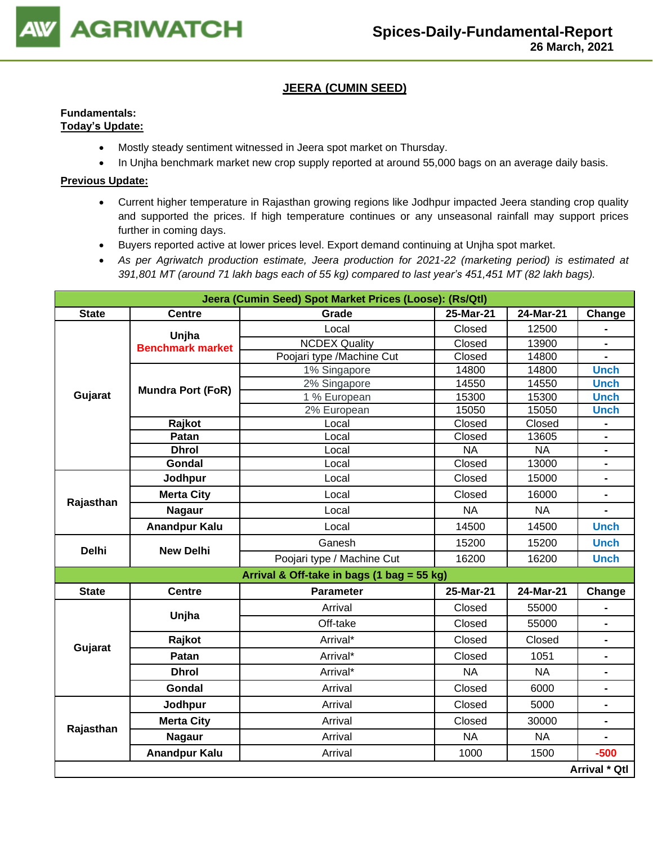

## **JEERA (CUMIN SEED)**

### **Fundamentals: Today's Update:**

- Mostly steady sentiment witnessed in Jeera spot market on Thursday.
- In Unjha benchmark market new crop supply reported at around 55,000 bags on an average daily basis.

- Current higher temperature in Rajasthan growing regions like Jodhpur impacted Jeera standing crop quality and supported the prices. If high temperature continues or any unseasonal rainfall may support prices further in coming days.
- Buyers reported active at lower prices level. Export demand continuing at Unjha spot market.
- *As per Agriwatch production estimate, Jeera production for 2021-22 (marketing period) is estimated at 391,801 MT (around 71 lakh bags each of 55 kg) compared to last year's 451,451 MT (82 lakh bags).*

|              |                                                                                                                                                                                                                                                                                                                                                                                                                                        | Jeera (Cumin Seed) Spot Market Prices (Loose): (Rs/Qtl) |           |           |                              |
|--------------|----------------------------------------------------------------------------------------------------------------------------------------------------------------------------------------------------------------------------------------------------------------------------------------------------------------------------------------------------------------------------------------------------------------------------------------|---------------------------------------------------------|-----------|-----------|------------------------------|
| <b>State</b> | <b>Centre</b>                                                                                                                                                                                                                                                                                                                                                                                                                          | Grade                                                   | 25-Mar-21 | 24-Mar-21 | Change                       |
|              |                                                                                                                                                                                                                                                                                                                                                                                                                                        | Local                                                   | Closed    | 12500     |                              |
|              |                                                                                                                                                                                                                                                                                                                                                                                                                                        | <b>NCDEX Quality</b>                                    | Closed    | 13900     |                              |
|              |                                                                                                                                                                                                                                                                                                                                                                                                                                        | Poojari type /Machine Cut                               | Closed    | 14800     |                              |
|              |                                                                                                                                                                                                                                                                                                                                                                                                                                        | 1% Singapore                                            | 14800     | 14800     | <b>Unch</b>                  |
|              |                                                                                                                                                                                                                                                                                                                                                                                                                                        | 2% Singapore                                            | 14550     | 14550     | <b>Unch</b>                  |
|              |                                                                                                                                                                                                                                                                                                                                                                                                                                        | 1 % European                                            | 15300     | 15300     | <b>Unch</b>                  |
|              |                                                                                                                                                                                                                                                                                                                                                                                                                                        | 2% European                                             | 15050     | 15050     | <b>Unch</b>                  |
|              |                                                                                                                                                                                                                                                                                                                                                                                                                                        | Local                                                   | Closed    | Closed    | $\qquad \qquad \blacksquare$ |
|              |                                                                                                                                                                                                                                                                                                                                                                                                                                        | Local                                                   | Closed    | 13605     | $\frac{1}{2}$                |
|              |                                                                                                                                                                                                                                                                                                                                                                                                                                        | Local                                                   | <b>NA</b> | <b>NA</b> | $\qquad \qquad \blacksquare$ |
|              | Unjha<br><b>Benchmark market</b><br><b>Mundra Port (FoR)</b><br>Gujarat<br>Rajkot<br>Patan<br><b>Dhrol</b><br>Gondal<br>Jodhpur<br><b>Merta City</b><br>Rajasthan<br><b>Nagaur</b><br><b>Anandpur Kalu</b><br><b>Delhi</b><br><b>New Delhi</b><br><b>Centre</b><br><b>State</b><br>Unjha<br>Rajkot<br>Gujarat<br>Patan<br><b>Dhrol</b><br>Gondal<br>Jodhpur<br><b>Merta City</b><br>Rajasthan<br><b>Nagaur</b><br><b>Anandpur Kalu</b> | Local                                                   | Closed    | 13000     | $\blacksquare$               |
|              |                                                                                                                                                                                                                                                                                                                                                                                                                                        | Local                                                   | Closed    | 15000     | $\blacksquare$               |
|              |                                                                                                                                                                                                                                                                                                                                                                                                                                        | Local                                                   | Closed    | 16000     |                              |
|              |                                                                                                                                                                                                                                                                                                                                                                                                                                        | Local                                                   | <b>NA</b> | <b>NA</b> |                              |
|              |                                                                                                                                                                                                                                                                                                                                                                                                                                        | Local                                                   | 14500     | 14500     | <b>Unch</b>                  |
|              |                                                                                                                                                                                                                                                                                                                                                                                                                                        | Ganesh                                                  | 15200     | 15200     | <b>Unch</b>                  |
|              |                                                                                                                                                                                                                                                                                                                                                                                                                                        | Poojari type / Machine Cut                              | 16200     | 16200     | <b>Unch</b>                  |
|              |                                                                                                                                                                                                                                                                                                                                                                                                                                        | Arrival & Off-take in bags (1 bag = 55 kg)              |           |           |                              |
|              |                                                                                                                                                                                                                                                                                                                                                                                                                                        | <b>Parameter</b>                                        | 25-Mar-21 | 24-Mar-21 | Change                       |
|              |                                                                                                                                                                                                                                                                                                                                                                                                                                        | Arrival                                                 | Closed    | 55000     |                              |
|              |                                                                                                                                                                                                                                                                                                                                                                                                                                        | Off-take                                                | Closed    | 55000     |                              |
|              |                                                                                                                                                                                                                                                                                                                                                                                                                                        | Arrival*                                                | Closed    | Closed    | $\blacksquare$               |
|              |                                                                                                                                                                                                                                                                                                                                                                                                                                        | Arrival*                                                | Closed    | 1051      |                              |
|              |                                                                                                                                                                                                                                                                                                                                                                                                                                        | Arrival*                                                | <b>NA</b> | <b>NA</b> | $\frac{1}{2}$                |
|              |                                                                                                                                                                                                                                                                                                                                                                                                                                        | Arrival                                                 | Closed    | 6000      |                              |
|              |                                                                                                                                                                                                                                                                                                                                                                                                                                        | Arrival                                                 | Closed    | 5000      | $\blacksquare$               |
|              |                                                                                                                                                                                                                                                                                                                                                                                                                                        | Arrival                                                 | Closed    | 30000     | $\blacksquare$               |
|              |                                                                                                                                                                                                                                                                                                                                                                                                                                        | Arrival                                                 | <b>NA</b> | <b>NA</b> | $\blacksquare$               |
|              |                                                                                                                                                                                                                                                                                                                                                                                                                                        | Arrival                                                 | 1000      | 1500      | $-500$                       |
|              |                                                                                                                                                                                                                                                                                                                                                                                                                                        |                                                         |           |           | Arrival * Qtl                |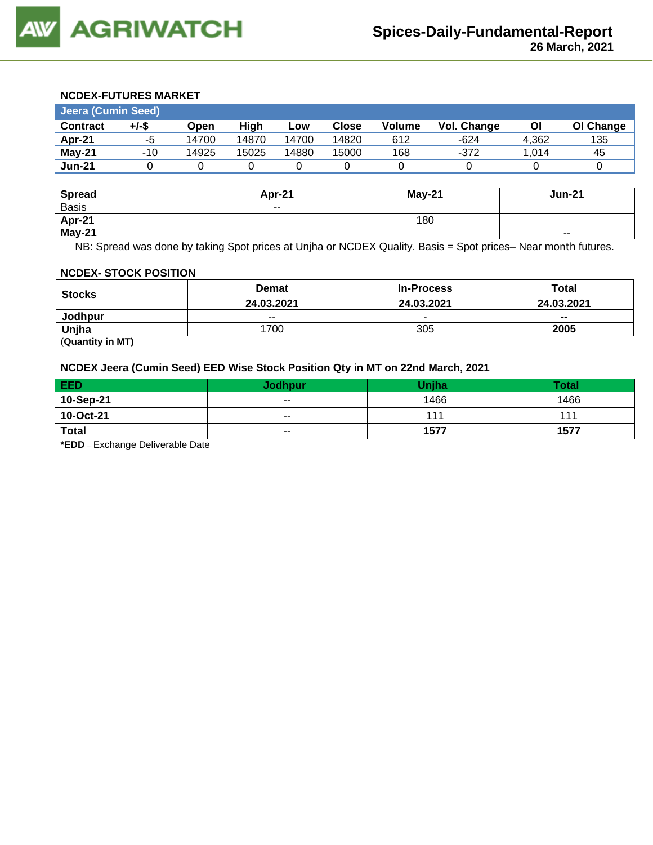## **NCDEX-FUTURES MARKET**

| Jeera (Cumin Seed) |       |       |       |       |       |               |             |       |           |
|--------------------|-------|-------|-------|-------|-------|---------------|-------------|-------|-----------|
| <b>Contract</b>    | +/-\$ | Open  | High  | Low   | Close | <b>Volume</b> | Vol. Change | ΟI    | OI Change |
| Apr-21             | -5    | 14700 | 14870 | 14700 | 14820 | 612           | $-624$      | 4.362 | 135       |
| May-21             | $-10$ | 14925 | 15025 | 14880 | 15000 | 168           | $-372$      | 1.014 | 45        |
| <b>Jun-21</b>      |       |       |       |       |       |               |             |       |           |

| <b>Spread</b> | Apr-21 | <b>May-21</b> | <b>Jun-21</b> |
|---------------|--------|---------------|---------------|
| <b>Basis</b>  | $ -$   |               |               |
| <b>Apr-21</b> |        | 180           |               |
| May-21        |        |               | $\sim$ $\sim$ |

NB: Spread was done by taking Spot prices at Unjha or NCDEX Quality. Basis = Spot prices– Near month futures.

#### **NCDEX- STOCK POSITION**

| <b>Stocks</b> | <b>Demat</b> | <b>In-Process</b> | Total      |
|---------------|--------------|-------------------|------------|
|               | 24.03.2021   | 24.03.2021        | 24.03.2021 |
| Jodhpur       | $- -$        | $\sim$            | $- -$      |
| Uniha         | 700          | 305               | 2005       |

(**Quantity in MT)**

#### **NCDEX Jeera (Cumin Seed) EED Wise Stock Position Qty in MT on 22nd March, 2021**

| EED          | <b>Jodhpur</b>           | Uniha | <b>Total</b> |
|--------------|--------------------------|-------|--------------|
| 10-Sep-21    | $\overline{\phantom{a}}$ | 1466  | 1466         |
| 10-Oct-21    | $- -$                    | 111   | 111          |
| <b>Total</b> | $\overline{\phantom{a}}$ | 1577  | 1577         |

**\*EDD** – Exchange Deliverable Date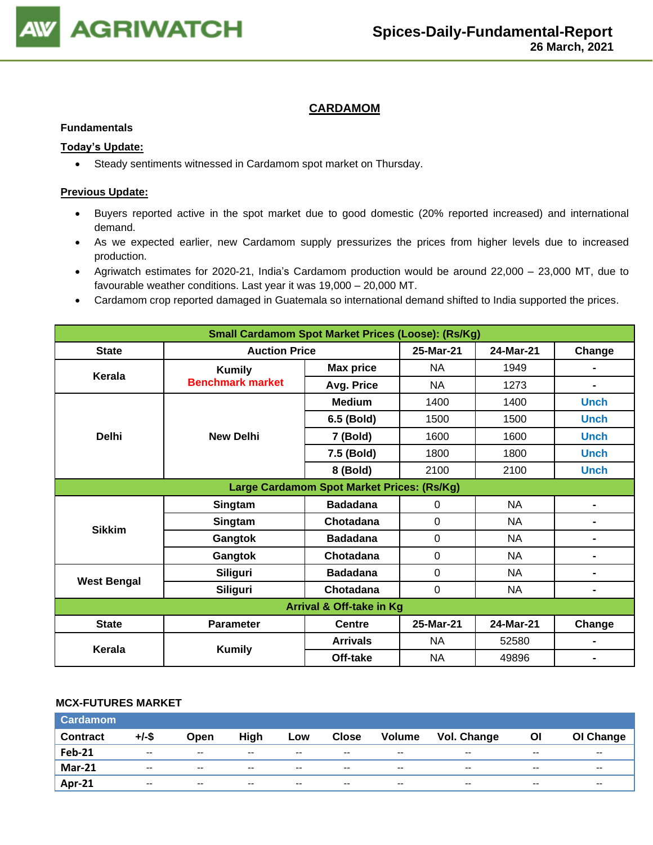

## **CARDAMOM**

#### **Fundamentals**

### **Today's Update:**

• Steady sentiments witnessed in Cardamom spot market on Thursday.

#### **Previous Update:**

- Buyers reported active in the spot market due to good domestic (20% reported increased) and international demand.
- As we expected earlier, new Cardamom supply pressurizes the prices from higher levels due to increased production.
- Agriwatch estimates for 2020-21, India's Cardamom production would be around 22,000 23,000 MT, due to favourable weather conditions. Last year it was 19,000 – 20,000 MT.
- Cardamom crop reported damaged in Guatemala so international demand shifted to India supported the prices.

| <b>Small Cardamom Spot Market Prices (Loose): (Rs/Kg)</b>                |                         |                                            |             |           |                |  |  |
|--------------------------------------------------------------------------|-------------------------|--------------------------------------------|-------------|-----------|----------------|--|--|
| Change<br><b>State</b><br><b>Auction Price</b><br>25-Mar-21<br>24-Mar-21 |                         |                                            |             |           |                |  |  |
| Kerala                                                                   | <b>Kumily</b>           | <b>Max price</b>                           | <b>NA</b>   | 1949      |                |  |  |
|                                                                          | <b>Benchmark market</b> | Avg. Price                                 | NA          | 1273      | $\blacksquare$ |  |  |
|                                                                          |                         | <b>Medium</b>                              | 1400        | 1400      | <b>Unch</b>    |  |  |
|                                                                          |                         | 6.5 (Bold)                                 | 1500        | 1500      | <b>Unch</b>    |  |  |
| <b>Delhi</b>                                                             | <b>New Delhi</b>        | 7 (Bold)                                   | 1600        | 1600      | <b>Unch</b>    |  |  |
|                                                                          |                         | 7.5 (Bold)                                 | 1800        | 1800      | <b>Unch</b>    |  |  |
|                                                                          |                         | 8 (Bold)                                   | 2100        | 2100      | <b>Unch</b>    |  |  |
|                                                                          |                         | Large Cardamom Spot Market Prices: (Rs/Kg) |             |           |                |  |  |
|                                                                          | Singtam                 | <b>Badadana</b>                            | 0           | NA        | $\blacksquare$ |  |  |
| <b>Sikkim</b>                                                            | Singtam                 | Chotadana                                  | 0           | NA        | $\blacksquare$ |  |  |
|                                                                          | Gangtok                 | <b>Badadana</b>                            | 0           | <b>NA</b> | $\blacksquare$ |  |  |
|                                                                          | Gangtok                 | Chotadana                                  | 0           | <b>NA</b> | $\blacksquare$ |  |  |
| <b>West Bengal</b>                                                       | Siliguri                | <b>Badadana</b>                            | $\mathbf 0$ | <b>NA</b> | $\blacksquare$ |  |  |
|                                                                          | Siliguri                | Chotadana                                  | $\mathbf 0$ | <b>NA</b> | $\blacksquare$ |  |  |
| Arrival & Off-take in Kg                                                 |                         |                                            |             |           |                |  |  |
| <b>State</b>                                                             | <b>Parameter</b>        | <b>Centre</b>                              | 25-Mar-21   | 24-Mar-21 | Change         |  |  |
| Kerala                                                                   |                         | <b>Arrivals</b>                            | NA.         | 52580     |                |  |  |
|                                                                          | <b>Kumily</b>           | Off-take                                   | NA          | 49896     |                |  |  |

#### **MCX-FUTURES MARKET**

| <b>Cardamom</b> |                          |                          |               |               |                          |                          |             |       |                          |
|-----------------|--------------------------|--------------------------|---------------|---------------|--------------------------|--------------------------|-------------|-------|--------------------------|
| <b>Contract</b> | +/-\$                    | Open                     | High          | Low           | <b>Close</b>             | <b>Volume</b>            | Vol. Change | ΟI    | OI Change                |
| <b>Feb-21</b>   | $\overline{\phantom{a}}$ | $\overline{\phantom{a}}$ | $- -$         | $- -$         | $\overline{\phantom{a}}$ | $- -$                    | $- -$       | $- -$ | $\overline{\phantom{a}}$ |
| <b>Mar-21</b>   | $\overline{\phantom{a}}$ | $\overline{\phantom{a}}$ | $\sim$ $\sim$ | $\sim$ $\sim$ | $\overline{\phantom{a}}$ | $\overline{\phantom{a}}$ | $- -$       | $- -$ | $\sim$ $\sim$            |
| Apr-21          | $-$                      | $-$                      | $-$           | $-$           | $-$                      | $-$                      | $- -$       | $- -$ | $- -$                    |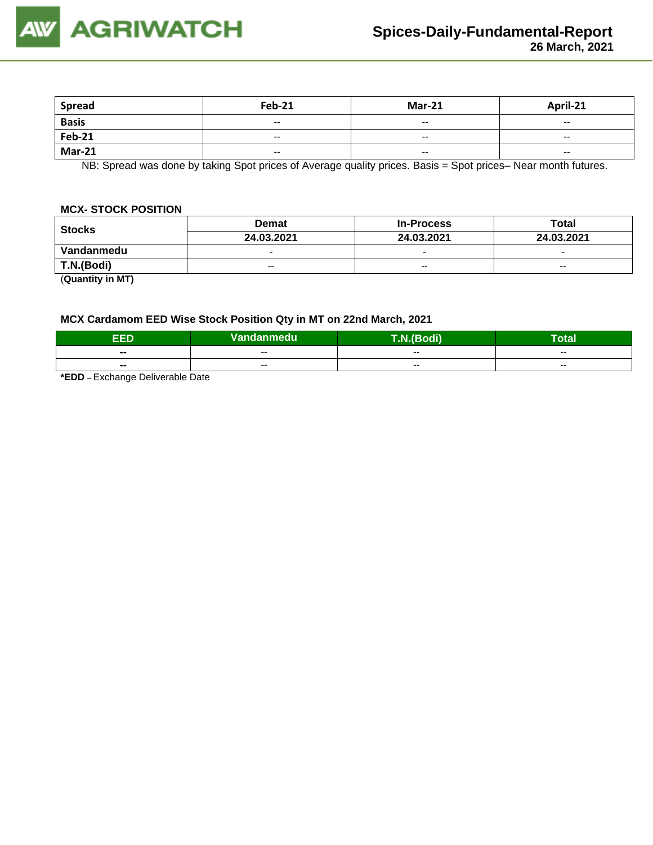

| <b>Spread</b> | <b>Feb-21</b>            | <b>Mar-21</b>            | April-21                 |
|---------------|--------------------------|--------------------------|--------------------------|
| <b>Basis</b>  | $\overline{\phantom{a}}$ | $\overline{\phantom{a}}$ | $\overline{\phantom{a}}$ |
| <b>Feb-21</b> | $- -$                    | $\overline{\phantom{a}}$ | $- -$                    |
| <b>Mar-21</b> | $\overline{\phantom{a}}$ | $\overline{\phantom{a}}$ | $\overline{\phantom{a}}$ |

NB: Spread was done by taking Spot prices of Average quality prices. Basis = Spot prices– Near month futures.

#### **MCX- STOCK POSITION**

| <b>Stocks</b>  | <b>Demat</b>             | <b>In-Process</b>        | Total                    |  |
|----------------|--------------------------|--------------------------|--------------------------|--|
|                | 24.03.2021               | 24.03.2021               | 24.03.2021               |  |
| Vandanmedu     | $\overline{\phantom{0}}$ | $\overline{\phantom{0}}$ | $\overline{\phantom{0}}$ |  |
| T.N.(Bodi)     | $- -$                    | $- -$                    | $- -$                    |  |
| (0.000, 0.000) |                          |                          |                          |  |

(**Quantity in MT)**

#### **MCX Cardamom EED Wise Stock Position Qty in MT on 22nd March, 2021**

| EED<br>. | Vandanmedu | <b>THE R. LEWIS</b><br>$\sim$ div | Гоtal |
|----------|------------|-----------------------------------|-------|
| $- -$    | --         | $- -$                             | $- -$ |
| $- -$    | $- -$      | $- -$                             | $-$   |
| __  _    |            |                                   |       |

**\*EDD** – Exchange Deliverable Date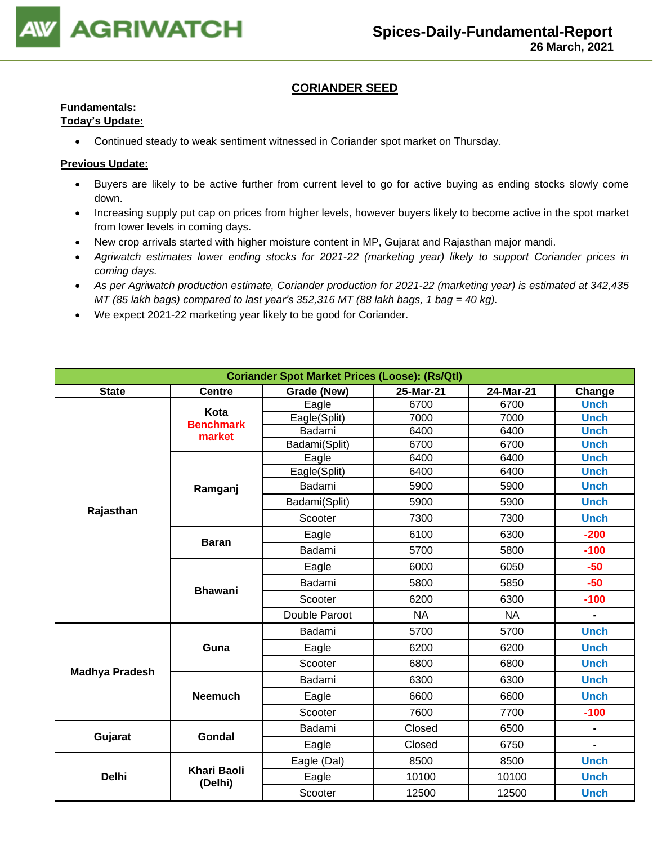

## **CORIANDER SEED**

## **Fundamentals:**

## **Today's Update:**

• Continued steady to weak sentiment witnessed in Coriander spot market on Thursday.

- Buyers are likely to be active further from current level to go for active buying as ending stocks slowly come down.
- Increasing supply put cap on prices from higher levels, however buyers likely to become active in the spot market from lower levels in coming days.
- New crop arrivals started with higher moisture content in MP, Gujarat and Rajasthan major mandi.
- *Agriwatch estimates lower ending stocks for 2021-22 (marketing year) likely to support Coriander prices in coming days.*
- *As per Agriwatch production estimate, Coriander production for 2021-22 (marketing year) is estimated at 342,435 MT (85 lakh bags) compared to last year's 352,316 MT (88 lakh bags, 1 bag = 40 kg).*
- We expect 2021-22 marketing year likely to be good for Coriander.

| <b>Coriander Spot Market Prices (Loose): (Rs/Qtl)</b> |                               |                                                 |              |           |                |  |  |  |  |
|-------------------------------------------------------|-------------------------------|-------------------------------------------------|--------------|-----------|----------------|--|--|--|--|
| <b>State</b>                                          | <b>Centre</b>                 | Grade (New)<br>25-Mar-21<br>24-Mar-21<br>Change |              |           |                |  |  |  |  |
|                                                       | Kota                          | Eagle                                           | 6700         | 6700      | <b>Unch</b>    |  |  |  |  |
|                                                       | <b>Benchmark</b>              | Eagle(Split)                                    | 7000         | 7000      | <b>Unch</b>    |  |  |  |  |
|                                                       | market                        | Badami                                          | 6400         | 6400      | <b>Unch</b>    |  |  |  |  |
|                                                       |                               | Badami(Split)                                   | 6700         | 6700      | <b>Unch</b>    |  |  |  |  |
|                                                       |                               | Eagle                                           | 6400         | 6400      | <b>Unch</b>    |  |  |  |  |
|                                                       |                               | Eagle(Split)                                    | 6400         | 6400      | <b>Unch</b>    |  |  |  |  |
|                                                       | Ramganj                       | Badami                                          | 5900         | 5900      | <b>Unch</b>    |  |  |  |  |
| Rajasthan                                             |                               | Badami(Split)                                   | 5900         | 5900      | <b>Unch</b>    |  |  |  |  |
|                                                       |                               | Scooter                                         | 7300         | 7300      | <b>Unch</b>    |  |  |  |  |
|                                                       | <b>Baran</b>                  | Eagle                                           | 6100         | 6300      | $-200$         |  |  |  |  |
|                                                       |                               | Badami                                          | 5700<br>5800 |           | $-100$         |  |  |  |  |
|                                                       | <b>Bhawani</b>                | Eagle                                           | 6000         |           | $-50$          |  |  |  |  |
|                                                       |                               | Badami                                          | 5800         | 5850      | $-50$          |  |  |  |  |
|                                                       |                               | Scooter                                         | 6200         | 6300      | $-100$         |  |  |  |  |
|                                                       |                               | Double Paroot                                   | <b>NA</b>    | <b>NA</b> | $\blacksquare$ |  |  |  |  |
|                                                       |                               | Badami                                          | 5700         | 5700      | <b>Unch</b>    |  |  |  |  |
|                                                       | Guna                          | Eagle                                           | 6200         | 6200      | <b>Unch</b>    |  |  |  |  |
| <b>Madhya Pradesh</b>                                 |                               | Scooter                                         | 6800         | 6800      | <b>Unch</b>    |  |  |  |  |
|                                                       |                               | Badami                                          | 6300         | 6300      | <b>Unch</b>    |  |  |  |  |
|                                                       | <b>Neemuch</b>                | Eagle                                           | 6600         | 6600      | <b>Unch</b>    |  |  |  |  |
|                                                       |                               | Scooter                                         | 7600         | 7700      | $-100$         |  |  |  |  |
| Gujarat                                               | <b>Gondal</b>                 | Badami                                          | Closed       | 6500      |                |  |  |  |  |
|                                                       |                               | Eagle                                           | Closed       | 6750      | $\blacksquare$ |  |  |  |  |
|                                                       |                               | Eagle (Dal)                                     | 8500         | 8500      | <b>Unch</b>    |  |  |  |  |
| <b>Delhi</b>                                          | <b>Khari Baoli</b><br>(Delhi) | Eagle                                           | 10100        | 10100     | <b>Unch</b>    |  |  |  |  |
|                                                       |                               | Scooter                                         | 12500        | 12500     | <b>Unch</b>    |  |  |  |  |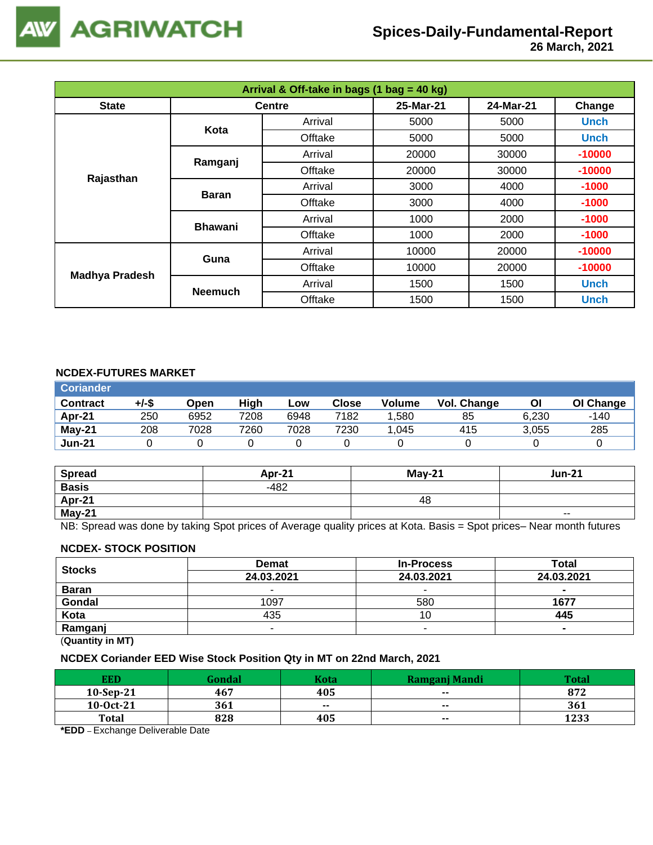

 **26 March, 2021**

| Arrival & Off-take in bags (1 bag = 40 kg) |                |                  |           |           |             |  |  |
|--------------------------------------------|----------------|------------------|-----------|-----------|-------------|--|--|
| <b>State</b>                               |                | <b>Centre</b>    | 25-Mar-21 | 24-Mar-21 | Change      |  |  |
|                                            | Kota           | Arrival          | 5000      | 5000      | <b>Unch</b> |  |  |
|                                            |                | Offtake          | 5000      | 5000      | <b>Unch</b> |  |  |
|                                            | Ramganj        | Arrival          | 20000     | 30000     | $-10000$    |  |  |
|                                            |                | Offtake<br>20000 |           | 30000     | $-10000$    |  |  |
| Rajasthan                                  | <b>Baran</b>   | Arrival          | 3000      | 4000      | $-1000$     |  |  |
|                                            |                | Offtake          | 3000      | 4000      | $-1000$     |  |  |
|                                            | <b>Bhawani</b> | Arrival          | 1000      | 2000      | $-1000$     |  |  |
|                                            |                | Offtake          | 1000      | 2000      | $-1000$     |  |  |
|                                            | Guna           | Arrival          | 10000     | 20000     | $-10000$    |  |  |
|                                            |                | Offtake          | 10000     | 20000     | $-10000$    |  |  |
| <b>Madhya Pradesh</b>                      | <b>Neemuch</b> | Arrival          | 1500      | 1500      | <b>Unch</b> |  |  |
|                                            |                | Offtake          | 1500      | 1500      | <b>Unch</b> |  |  |

## **NCDEX-FUTURES MARKET**

| <b>Coriander</b> |       |      |      |      |              |        |             |       |           |
|------------------|-------|------|------|------|--------------|--------|-------------|-------|-----------|
| <b>Contract</b>  | +/-\$ | Open | High | Low  | <b>Close</b> | Volume | Vol. Change | ΟI    | OI Change |
| Apr-21           | 250   | 6952 | 7208 | 6948 | 7182         | 1.580  | 85          | 6.230 | -140      |
| $May-21$         | 208   | 7028 | 7260 | 7028 | 7230         | 1.045  | 415         | 3,055 | 285       |
| <b>Jun-21</b>    |       |      |      |      |              |        |             |       |           |

| <b>Spread</b> | <b>Apr-21</b> | $Mav-21$ | <b>Jun-21</b>            |
|---------------|---------------|----------|--------------------------|
| <b>Basis</b>  | $-482$        |          |                          |
| Apr-21        |               | 48       |                          |
| $May-21$      |               |          | $\overline{\phantom{a}}$ |

NB: Spread was done by taking Spot prices of Average quality prices at Kota. Basis = Spot prices– Near month futures

#### **NCDEX- STOCK POSITION**

| <b>Stocks</b>                                  | <b>Demat</b> | <b>In-Process</b> | Total          |  |  |  |
|------------------------------------------------|--------------|-------------------|----------------|--|--|--|
|                                                | 24.03.2021   | 24.03.2021        | 24.03.2021     |  |  |  |
| <b>Baran</b>                                   |              |                   | $\sim$         |  |  |  |
| Gondal                                         | 1097         | 580               | 1677           |  |  |  |
| Kota                                           | 435          |                   | 445            |  |  |  |
| Ramganj                                        | -            |                   | $\blacksquare$ |  |  |  |
| $\mathbf{A}$ and $\mathbf{A}$ and $\mathbf{A}$ |              |                   |                |  |  |  |

(**Quantity in MT)**

## **NCDEX Coriander EED Wise Stock Position Qty in MT on 22nd March, 2021**

| <b>EED</b>   | <b>Gondal</b> | Kota          | Ramgani Mandi | Total |
|--------------|---------------|---------------|---------------|-------|
| $10-Sep-21$  | 467           | 405           | $- -$         | 872   |
| $10-0ct-21$  | 361           | $\sim$ $\sim$ | $\sim$ $\sim$ | 361   |
| <b>Total</b> | 828           | 405           | $- -$         | 1233  |

**\*EDD** – Exchange Deliverable Date